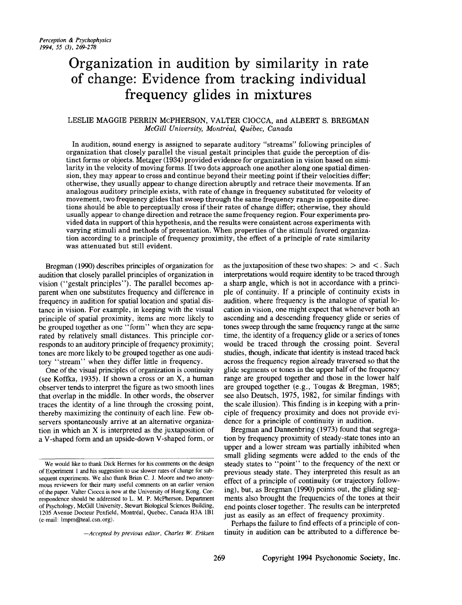# Organization in audition by similarity in rate of change: Evidence from tracking individual frequency glides in mixtures

# LESLIE MAGGIE PERRIN McPHERSON, VALTER CIOCCA, and ALBERT S. BREGMAN McGill University, Montréal, Québec, Canada

In audition, sound energy is assigned to separate auditory "streams" following principles of organization that closely parallel the visual gestalt principles that guide the perception of distinct forms or objects . Metzger (1934) provided evidence for organization in vision based on similarity in the velocity of moving forms. If two dots approach one another along one spatial dimension, they may appear to cross and continue beyond their meeting point if their velocities differ; otherwise, they usually appear to change direction abruptly and retrace their movements. If an analogous auditory principle exists, with rate of change in frequency substituted for velocity of movement, two frequency glides that sweep through the same frequency range in opposite directions should be able to perceptually cross if their rates of change differ; otherwise, they should usually appear to change direction and retrace the same frequency region. Four experiments provided data in support of this hypothesis, and the results were consistent across experiments with varying stimuli and methods of presentation. When properties of the stimuli favored organization according to a principle of frequency proximity, the effect of a principle of rate similarity was attenuated but still evident.

Bregman (1990) describes principles of organization for audition that closely parallel principles of organization in vision ("gestalt principles"). The parallel becomes apparent when one substitutes frequency and difference in frequency in audition for spatial location and spatial distance in vision. For example, in keeping with the visual principle of spatial proximity, items are more likely to be grouped together as one "form" when they are separated by relatively small distances. This principle corresponds to an auditory principle of frequency proximity; tones are more likely to be grouped together as one auditory "stream" when they differ little in frequency .

One of the visual principles of organization is continuity (see Koffka, 1935). If shown a cross or an X, a human observer tends to interpret the figure as two smooth lines that overlap in the middle . In other words, the observer traces the identity of a line through the crossing point, thereby maximizing the continuity of each line . Few observers spontaneously arrive at an alternative organization in which an X is interpreted as the juxtaposition of a V-shaped form and an upside-down V-shaped form, or

-Accepted by previous editor, Charles W. Eriksen

as the juxtaposition of these two shapes:  $>$  and  $<$ . Such interpretations would require identity to be traced through a sharp angle, which is not in accordance with a principle of continuity . If a principle of continuity exists in audition, where frequency is the analogue of spatial location in vision, one might expect that whenever both an ascending and a descending frequency glide or series of tones sweep through the same frequency range at the same time, the identity of <sup>a</sup> frequency glide or a series of tones would be traced through the crossing point. Several studies, though, indicate that identity is instead traced back across the frequency region already traversed so that the glide segments or tones in the upper half of the frequency range are grouped together and those in the lower half are grouped together (e .g ., Tougas & Bregman, 1985; see also Deutsch, 1975, 1982, for similar findings with the scale illusion) . This finding is in keeping with a principle of frequency proximity and does not provide evidence for <sup>a</sup> principle of continuity in audition.

Bregman and Dannenbring (1973) found that segregation by frequency proximity of steady-state tones into an upper and a lower stream was partially inhibited when small gliding segments were added to the ends of the steady states to "point" to the frequency of the next or previous steady state. They interpreted this result as an effect of a principle of continuity (or trajectory following), but, as Bregman (1990) points out, the gliding segments also brought the frequencies of the tones at their end points closer together . The results can be interpreted just as easily as an effect of frequency proximity.

Perhaps the failure to find effects of a principle of continuity in audition can be attributed to a difference be-

We would like to thank Dick Hermes for his comments on the design of Experiment <sup>1</sup> and his suggestion to use slower rates of change for subsequent experiments. We also thank Brian C. J. Moore and two anonymous reviewers for their many useful comments on an earlier version of the paper. Valter Ciocca is now at the University of Hong Kong. Correspondence should be addressed to L. M. P. McPherson, Department of Psychology, McGill University, Stewart Biological Sciences Building, 1205 Avenue Docteur Penfield, Montreal, Quebec, Canada H3A 1B1 (e-mail: lmpm@teal.csn.org).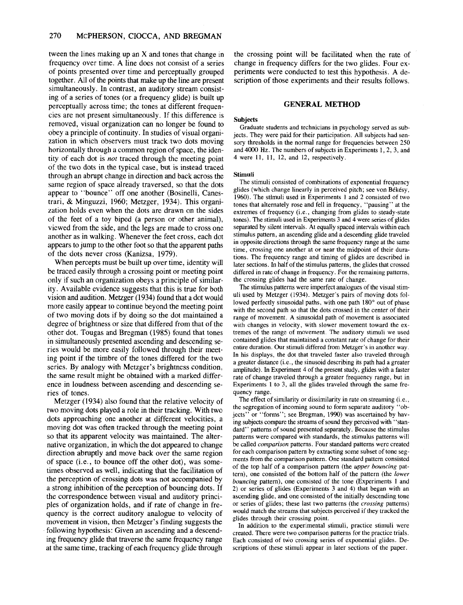tween the lines making up an X and tones that change in frequency over time . A line does not consist of <sup>a</sup> series of points presented over time and perceptually grouped together. All of the points that make up the line are present simultaneously. In contrast, an auditory stream consisting of a series of tones (or <sup>a</sup> frequency glide) is built up perceptually across time; the tones at different frequencies are not present simultaneously . If this difference is removed, visual organization can no longer be found to obey a principle of continuity . In studies of visual organization in which observers must track two dots moving horizontally through <sup>a</sup> common region of space, the identity of each dot is not traced through the meeting point of the two dots in the typical case, but is instead traced through an abrupt change in direction and back across the same region of space already traversed, so that the dots appear to "bounce" off one another (Bosinelli, Canestrari, & Minguzzi, 1960; Metzger, 1934). This organization holds even when the dots are drawn on the sides of the feet of a toy biped (a person or other animal), viewed from the side, and the legs are made to cross one another as in walking. Whenever the feet cross, each dot appears to jump to the other foot so that the apparent paths of the dots never cross (Kanizsa, 1979) .

When percepts must be built up over time, identity will be traced easily through a crossing point or meeting point only if such an organization obeys a principle of similarity . Available evidence suggests that this is true for both vision and audition. Metzger (1934) found that a dot would more easily appear to continue beyond the meeting point of two moving dots if by doing so the dot maintained a degree of brightness or size that differed from that of the other dot. Tougas and Bregman (1985) found that tones in simultaneously presented ascending and descending series would be more easily followed through their meeting point if the timbre of the tones differed for the two series. By analogy with Metzger's brightness condition, the same result might be obtained with a marked difference in loudness between ascending and descending series of tones .

Metzger (1934) also found that the relative velocity of two moving dots played a role in their tracking. With two dots approaching one another at different velocities, a moving dot was often tracked through the meeting point so that its apparent velocity was maintained. The alternative organization, in which the dot appeared to change direction abruptly and move back over the same region of space (i .e ., to bounce off the other dot), was sometimes observed as well, indicating that the facilitation of the perception of crossing dots was not accompanied by a strong inhibition of the perception of bouncing dots. If the correspondence between visual and auditory principles of organization holds, and if rate of change in frequency is the correct auditory analogue to velocity of movement in vision, then Metzger's finding suggests the following hypothesis: Given an ascending and a descending frequency glide that traverse the same frequency range at the same time, tracking of each frequency glide through

the crossing point will be facilitated when the rate of change in frequency differs for the two glides . Four experiments were conducted to test this hypothesis . A description of those experiments and their results follows.

# GENERAL METHOD

#### Subjects

Graduate students and technicians in psychology served as subjects. They were paid for their participation . All subjects had sensory thresholds in the normal range for frequencies between 250 and 4000 Hz. The numbers of subjects in Experiments 1, 2, 3, and 4 were 11, 11, 12, and 12, respectively.

# Stimuli

The stimuli consisted of combinations of exponential frequency glides (which change linearly in perceived pitch; see von Békésy, 1960). The stimuli used in Experiments <sup>1</sup> and 2 consisted of two tones that alternately rose and fell in frequency, "pausing" at the extremes of frequency (i.e., changing from glides to steady-state tones). The stimuli used in Experiments 3 and 4 were series of glides separated by silent intervals. At equally spaced intervals within each stimulus pattern, an ascending glide and a descending glide traveled in opposite directions through the same frequency range at the same time, crossing one another at or near the midpoint of their durations. The frequency range and timing of glides are described in later sections . In half of the stimulus patterns, the glides that crossed differed in rate of change in frequency. For the remaining patterns, the crossing glides had the same rate of change.

The stimulus patterns were imperfect analogues of the visual stimuli used by Metzger (1934). Metzger's pairs of moving dots followed perfectly sinusoidal paths, with one path 180° out of phase with the second path so that the dots crossed in the center of their range of movement. A sinusoidal path of movement is associated with changes in velocity, with slower movement toward the extremes of the range of movement. The auditory stimuli we used contained glides that maintained a constant rate of change for their entire duration . Our stimuli differed from Metzger's in another way. In his displays, the dot that traveled faster also traveled through a greater distance (i .e ., the sinusoid describing its path had a greater amplitude) . In Experiment 4 of the present study, glides with a faster rate of change traveled through a greater frequency range, but in Experiments 1 to 3, all the glides traveled through the same frequency range.

The effect of similarity or dissimilarity in rate on streaming (i.e., the segregation of incoming sound to form separate auditory "objects" or "forms"; see Bregman, 1990) was ascertained by having subjects compare the streams of sound they perceived with "standard" patterns of sound presented separately. Because the stimulus patterns were compared with standards, the stimulus patterns will be called *comparison* patterns. Four standard patterns were created for each comparison pattern by extracting some subset of tone segments from the comparison pattern. One standard pattern consisted of the top half of a comparison pattern (the upper bouncing pattern), one consisted of the bottom half of the pattern (the lower bouncing pattern), one consisted of the tone (Experiments <sup>1</sup> and 2) or series of glides (Experiments 3 and 4) that began with an ascending glide, and one consisted of the initially descending tone or series of glides; these last two patterns (the crossing patterns) would match the streams that subjects perceived if they tracked the glides through their crossing point.

In addition to the experimental stimuli, practice stimuli were created. There were two comparison patterns for the practice trials . Each consisted of two crossing series of exponential glides . Descriptions of these stimuli appear in later sections of the paper.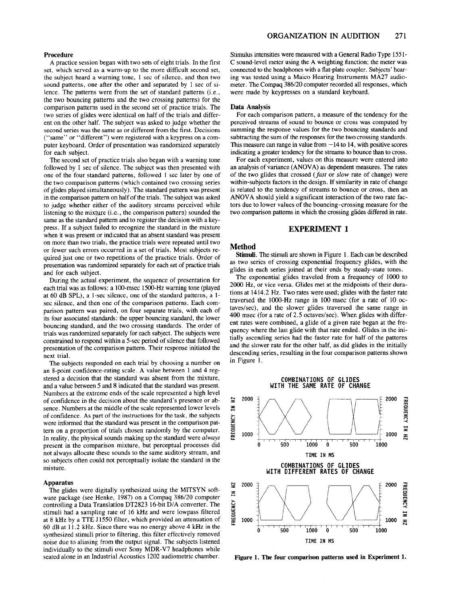# Procedure

A practice session began with two sets of eight trials . In the first set, which served as a warm-up to the more difficult second set, the subject heard a warning tone, <sup>1</sup> sec of silence, and then two sound patterns, one after the other and separated by <sup>1</sup> sec of silence. The patterns were from the set of standard patterns (i.e., the two bouncing patterns and the two crossing patterns) for the comparison patterns used in the second set of practice trials. The two series of glides were identical on half of the trials and different on the other half. The subject was asked to judge whether the second series was the same as or different from the first. Decisions ("same" or "different") were registered with a keypress on a computer keyboard. Order of presentation was randomized separately for each subject.

The second set of practice trials also began with a warning tone followed by <sup>1</sup> sec of silence. The subject was then presented with one of the four standard patterns, followed <sup>1</sup> sec later by one of the two comparison patterns (which contained two crossing series of glides played simultaneously) . The standard pattern was present in the comparison pattern on half of the trials . The subject was asked to judge whether either of the auditory streams perceived while listening to the mixture (i.e., the comparison pattern) sounded the same as the standard pattern and to register the decision with a keypress. If a subject failed to recognize the standard in the mixture when it was present or indicated that an absent standard was present on more than two trials, the practice trials were repeated until two or fewer such errors occurred in a set of trials . Most subjects required just one or two repetitions of the practice trials . Order of presentation was randomized separately for each set of practice trials and for each subject.

During the actual experiment, the sequence of presentation for each trial was as follows: a 100-msec 1500-Hz warning tone (played at 60 dB SPL), a 1-sec silence, one of the standard patterns, a 1 sec silence, and then one of the comparison patterns. Each comparison pattern was paired, on four separate trials, with each of its four associated standards: the upper bouncing standard, the lower bouncing standard, and the two crossing standards. The order of trials was randomized separately for each subject. The subjects were constrained to respond within a 5-sec period of silence that followed presentation of the comparison pattern. Their response initiated the next trial .

The subjects responded on each trial by choosing a number on an 8-point confidence-rating scale. A value between <sup>1</sup> and <sup>4</sup> regstered a decision that the standard was absent from the mixture, and a value between 5 and 8 indicated that the standard was present. Numbers at the extreme ends of the scale represented a high level of confidence in the decision about the standard's presence or absence. Numbers at the middle of the scale represented lower levels of confidence . As part of the instructions for the task, the subjects were informed that the standard was present in the comparison pattern on a proportion of trials chosen randomly by the computer . In reality, the physical sounds making up the standard were *always* present in the comparison mixture, but perceptual processes did not always allocate these sounds to the same auditory stream, and so subjects often could not perceptually isolate the standard in the mixture.

## Apparatus

The glides were digitally synthesized using the MITSYN software package (see Henke, 1987) on a Compaq 386/20 computer controlling a Data Translation DT2823 16-bit D/A converter. The stimuli had a sampling rate of 16 kHz and were lowpass filtered at 8 kHz by a TTE J1550 filter, which provided an attenuation of <sup>60</sup> dB at <sup>11</sup> .2 kHz . Since there was no energy above 4 kHz in the synthesized stimuli prior to filtering, this filter effectively removed noise due to aliasing from the output signal. The subjects listened individually to the stimuli over Sony MDR-V7 headphones while seated alone in an Industrial Acoustics 1202 audiometric chamber.

Stimulus intensities were measured with a General Radio Type 1551- C sound-level meter using the A weighting function; the meter was connected to the headphones with a flat-plate coupler. Subjects' hearing was tested using a Maico Hearing Instruments MA27 audiometer. The Compaq 386/20 computer recorded all responses, which were made by keypresses on a standard keyboard.

## Data Analysis

For each comparison pattern, a measure of the tendency for the perceived streams of sound to bounce or cross was computed by summing the response values for the two bouncing standards and subtracting the sum of the responses for the two crossing standards. This measure can range in value from  $-14$  to 14, with positive scores indicating a greater tendency for the streams to bounce than to cross.

For each experiment, values on this measure were entered into an analysis of variance (ANOVA) as dependent measures . The rates of the two glides that crossed (fast or slow rate of change) were within-subjects factors in the design. If similarity in rate of change is related to the tendency of streams to bounce or cross, then an ANOVA should yield <sup>a</sup> significant interaction of the two rate factors due to lower values of the bouncing-crossing measure for the two comparison patterns in which the crossing glides differed in rate.

# EXPERIMENT <sup>1</sup>

# **Method**

Stimuli. The stimuli are shown in Figure 1. Each can be described as two series of crossing exponential frequency glides, with the glides in each series joined at their ends by steady-state tones .

The exponential glides traveled from <sup>a</sup> frequency of 1000 to 2000 Hz, or vice versa. Glides met at the midpoints of their durations at 1414.2 Hz. Two rates were used; glides with the faster rate traversed the 1000-Hz range in 100 msec (for a rate of 10 octaves/sec), and the slower glides traversed the same range in 400 msec (for a rate of 2.5 octaves/sec). When glides with different rates were combined, a glide of a given rate began at the frequency where the last glide with that rate ended. Glides in the initially ascending series had the faster rate for half of the patterns and the slower rate for the other half, as did glides in the initially descending series, resulting in the four comparison patterns shown in Figure 1.





Figure 1. The four comparison patterns used in Experiment 1.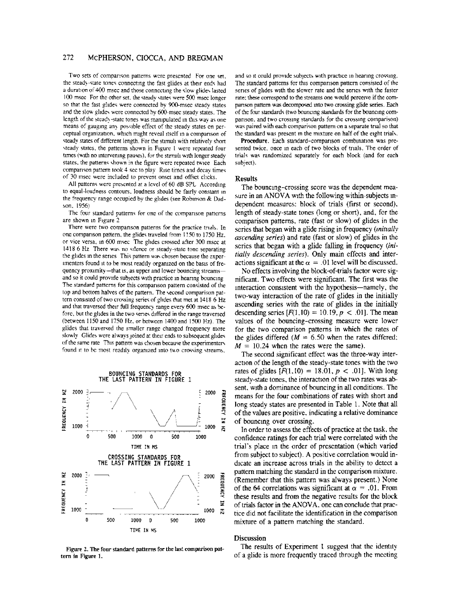# <sup>272</sup> MCPHER50N, CIOCCA, AND BREGMAN

Two sets of comparison patterns were presented For one set, the steady-state tones connecting the fast glides at their ends had a duration of 400 msec and thoseconnecting the slow glides lasted 100 msec For the other set, the steady states were 500 msec longer so that the fast glides were connected by 900-msec steady states and the slow glides were connected by 600-msec steady states. The length of the steady-state tones was manipulated in this way as one means of gauging any possible effect of the steady states on perceptual organization, which might reveal itself m <sup>a</sup> comparison of steady states of different length . For the stimuli with relatively short steady states, the patterns shown in Figure 1 were repeated four times (with no intervening pauses), for the stimuli with longer steady states, the patterns shown in the figure were repeated twice Each comparison pattern took 4 sec to play Rise times and decay times of 30 msec were included to prevent onset and offset clicks.

All patterns were presented at a level of 60 dB SPL According to equal-loudness contours, loudness should be fairly constant in the frequency range occupied by the glides (see Robinson & Dadson, 1956)

The four standard patterns for one of the comparison patterns are shown in Figure 2

There were two comparison patterns for the practice trials. In one comparison pattern, the glides traveled from 1150 to 1750 Hz. or vice versa, in 600 msec. The glides crossed after 300 msec at 1418 6 Hz There was no silence or steady-state tone separating the glides in the series This pattern was chosen because the experimenters found it to be most readily organized on the basis of frequency proximity-that is, as upper and lower bouncing streamsand so it could provide subjects with practice mhearing bouncing The standard patterns for this comparison pattern consisted of the top and bottom halves of the pattern. The second comparison pattern consisted of two crossing series of glides that met at <sup>1418</sup> 6 Hz and that traversed their full frequency range every 600 msec as beforc, but the glides in the two senes differed in the range traversed (between 1150 and 1756 Hz, or between 1400 and 1500 Hz}. The glides that traversed the smaller range changed frequency more slowly Glides were always joined at their ends to subsequent glides of the same rate This pattern was chosen because the experimenters found it to be most readily organized into two crossing streams,



Figure 2. The fear standard patterns for the last comparison pattern in Figure 1 .

and so it could provide subjects with practice in hearing crossing. The standard patterns for this comparison pattern consisted of the series of glides with the slower rate and the senes with tie faster rate; these correspond to the streams one would perceive if the companson pattern was decomposed into two crossing glide series. Each of the four standards (two bouncing standards for thebouncing comparison, and two crossing standards for the crossing comparison) was paired with each comparison pattern on a separate trial so that the standard was present m the mixture on half of the eight trials .

Procedure, Each standard-comparison combination was presented twice, once in each of two blocks of trials. The order of trials was randomized separately for each block (and for each subject).

#### Results

The bouncing-crossing scare was the dependent measurc in an ANOVA with the following within-subjects independent measures: block of trials (first or second), length of steady-state tones (long or short), and, for the comparison patterns, rate (fast or slow) of glides in the series that began with a glide rising in frequency (*initially* ascending series) and rate (fast or slow) of glides in the series that began with a glide falling in frequency *(ini*tially descending series). Only main effects and interactions significant at the  $\alpha = 01$  level will be discussed.

No effects involving the block-of-trials factor were significant. Two effects were significant. The first was the interaction consistent with the hypothesis-namely, the two-way interaction of the rate of glides in the initially ascending series with the rate of glides in the initially descending series  $[F(1,10) = 10.19, p < .01]$ . The mean values of the bouncing-crossing measure were lower for the two comparison patterns in which the rates of the glides differed ( $M = 6.50$  when the rates differed;  $M = 10.24$  when the rates were the same).

The second significant effect was the three-way interaction of the length of the steady-state tones with the two rates of glides  $[F(1, 10) = 18.01, p < .01]$ . With long steady-state tones, the interaction of the two rates was absent, with a dominance of bouncing in all conditions. The means for the four combinations of rates with short and long steady states are presented in Table 1. Note that all of the values are positive, indicating a relative dominance of bouncing over crossing .

In order to assess the effects of practice at the task, the confidence ratings for each trial were correlated with the trial's place m the order of presentation (which varied from subject to subject) A positive correlation would indicate an increase across trials in the ability to detect a pattern matching the standard in the comparison mixture . (Remember that this pattern was always present.) None of the 64 correlations was significant at  $\alpha = .01$ . From these results and from the negative results for the block of trials factor in the ANOVA, one can conclude that practice did not facilitate the identification in the comparison mixture of a pattern matching the standard.

# Discussion

The results of Experiment 1 suggest that the identity of a glide is more frequently traced through the meeting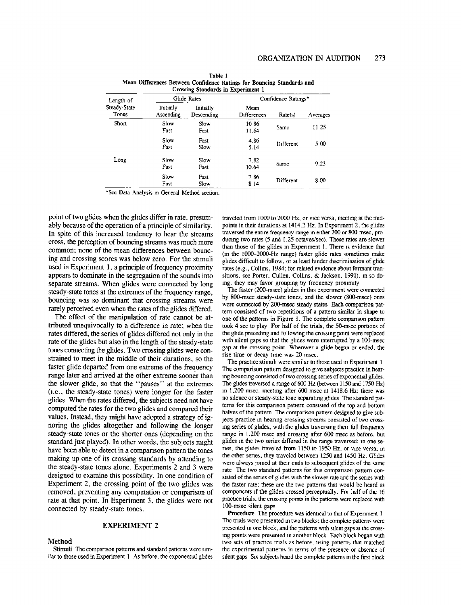|                                    | стомир эмноагом и схретитет т |                         |                     |           |          |  |
|------------------------------------|-------------------------------|-------------------------|---------------------|-----------|----------|--|
| Length of<br>Steady-State<br>Tones | Glide Rates                   |                         | Confidence Ratings* |           |          |  |
|                                    | Initially<br>Ascending        | Initially<br>Descending | Mean<br>Differences | Rate(s)   | Averages |  |
| Short                              | Slow<br>Fast                  | Slow<br>Fast            | 1086<br>11.64       | Same      | 11 25    |  |
| Long                               | Slow<br>Fast                  | Fast<br>Slow            | 4.86<br>5.14        | Different | 500      |  |
|                                    | Slow<br>Fast                  | Slow<br>Fast            | 7.82<br>10.64       | Same      | 9.23     |  |
|                                    | Slow<br>Fast                  | Fast<br>Slow            | 786<br>814          | Different | 8.00     |  |

| Table 1                                                                |  |  |  |  |  |
|------------------------------------------------------------------------|--|--|--|--|--|
| Mean Differences Between Confidence Ratings for Bouncing Standards and |  |  |  |  |  |
| Crossing Standards in Experiment 1                                     |  |  |  |  |  |

\*See Data Analysis m General Method section

point of two glides when the glides differ in rate, presumably because of the operation of a principle of similarity In spite of this increased tendency to hear the streams cross, the perception of bouncing streams was much more common; none of the mean differences between bouncing and crossing scores was below zero. For the stimuli used in Experiment 1, a principle of frequency proximity appears to dominate in the segregation of the sounds into separate streams. When glides were connected by long steady-state tones at the extremes of the frequency range, bouncing was so dominant that crossing streams were rarely perceived even when the rates of the glides differed.

The effect of the manipulation of rate cannot be attributed unequivocally to a difference in rate; when the rates differed, the series of glides differed not only in the rate of the glides but also in the length of the steady-state tones connecting the glides . Two crossing glides were constrained to meet in the middle of their durations, so the faster glide departed from one extreme of the frequency range later and arrived at the other extreme sooner than the slower glide, so that the "pauses" at the extremes (i .e ., the steady-state tones) were longer for the faster glides . When the rates differed, the subjects need not have computed the rates for the two glides and compared their values. Instead, they might have adopted a strategy of ignoring the glides altogether and following the longer steady-state tones or the shorter ones (depending on the standard just played). In other words, the subjects might have been able to detect in a comparison pattern the tones making up one of its crossing standards by attending to the steady-state tones alone. Experiments 2 and 3 were designed to examine this possibility. In one condition of Experiment 2, the crossing point of the two glides was removed, preventing any computation or comparison of rate at that point. In Experiment 3, the glides were not connected by steady-state tones .

# EXPERIMENT 2

#### Method

Stimuli The comparison patterns and standard patterns were similar to those used in Experiment <sup>1</sup> As before, the exponential glides traveled from 1000 to 2000 Hz, or vice versa, meeting at the midpoints in their durations at 1414.2 Hz. In Experiment 2, the glides traversed the entire frequency range in either 200 or 800 msec, producing two rates (5 and 1.25 octaves/sec). These rates are slower than those of the glides m Experiment L There is evidence that (m the 1000-2000-Hz range) faster glide rates sometimes make glides difficult to follow, or at least hinder discrimination of glide rates (e.g., Collins, 1984; for related evidence about formant transitions, see Porter. Cullen, Collins, & Jackson, 1991), in so domg, they may favor grouping by frequency proximity

The faster (200-msec) glides in this experiment were connected by 800-msec steady-state tones, and the slower (800-msec) ones were connected by 200-msec steady states Each comparison pattern consisted of two repetitions of a pattern similar in shape to one of the patterns in Figure <sup>3</sup> . The complete comparison pattern took 4 sec to play For half of the trials, the 50-msec portions of the glide preceding and following the crossing point were replaced with silent gaps so that the glides were interrupted by a 100-msec gap at the crossing point Wherever a glide began or ended, the rise time or decay time was 20 msec.

The practice stimuli were similar to those used in Experiment <sup>1</sup> The comparison pattern designed to give subjects practice in hearmg bouncing consisted of two crossing series of exponential glides . The glides traversed a range of 600 Hz (between 1150 and 1750 Hz) in 1,200 msec, meeting after 600 msec at 1418.6 Hz; there was no silence or steady-state tone separating glides The standard patterns for this comparison pattern consisted of the top and bottom halves of the pattern. The comparison pattern designed to give subjects practice m hearing crossing streams consisted of two crossmg series of glides, with the glides traversing their full frequency range in 1,200 msec and crossing after 600 msec as before, but glides in the two series differed in the range traversed: in one seties, the glides traveled from 1150 to 1950 Hz, or vice versa; in the other series, they traveled between 1250 and 1450 Hz. Glides were always joined at their ends to subsequent glides of the same rate The two standard patterns for this comparison pattern consisted of the series of glides with the slower rate and the series with the faster rate; these are the two patterns that would be heard as components if the glides crossed perceptually . For half of the 16 practice trials, the crossing points in the patterns were replaced with 100-msec silent gaps

Procedure. The procedure was identical to that of Experiment <sup>I</sup> The trials were presented in two blocks; the complete patterns were presented in one block, and the patterns with silent gaps at the crossing points were presented in another block. Each block began with two sets of practice trials as before, using patterns that matched the experimental patterns in terms of the presence or absence of silent gaps Six subjects heard the complete patterns in the first block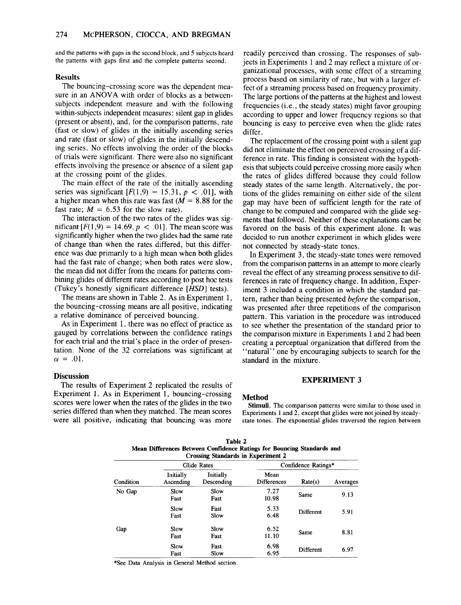and the patterns with gaps in the second block, and 5 subjects heard the patterns with gaps first and the complete patterns second.

# Results

The bouncing-crossing score was the dependent measure in an ANOVA with order of blocks as <sup>a</sup> betweensubjects independent measure and with the following within-subjects independent measures: silent gap in glides (present or absent), and, for the comparison patterns, rate (fast or slow) of glides in the initially ascending series and rate (fast or slow) of glides in the initially descending series. No effects involving the order of the blocks of trials were significant. There were also no significant effects involving the presence or absence of a silent gap at the crossing point of the glides .

The main effect of the rate of the initially ascending series was significant  $[F(1,9) = 15.31, p < .01]$ , with a higher mean when this rate was fast  $(M = 8.88$  for the fast rate;  $M = 6.53$  for the slow rate).

The interaction of the two rates of the glides was significant  $[F(1,9) = 14.69, p < .01]$ . The mean score was significantly higher when the two glides had the same rate of change than when the rates differed, but this difference was due primarily to a high mean when both glides had the fast rate of change; when both rates were slow, the mean did not differ from the means for patterns combining glides of different rates according to post hoc tests (Tukey's honestly significant difference [HSD] tests) .

The means are shown in Table 2. As in Experiment 1, the bouncing-crossing means are all positive, indicating a relative dominance of perceived bouncing.

As in Experiment 1, there was no effect of practice as gauged by correlations between the confidence ratings for each trial and the trial's place in the order of presentation. None of the 32 correlations was significant at  $\alpha = .01$ .

# **Discussion**

The results of Experiment 2 replicated the results of Experiment 1. As in Experiment 1, bouncing-crossing scores were lower when the rates of the glides in the two series differed than when they matched. The mean scores were all positive, indicating that bouncing was more

readily perceived than crossing. The responses of subjects in Experiments <sup>1</sup> and 2 may reflect a mixture of organizational processes, with some effect of a streaming process based on similarity of rate, but with a larger effect of a streaming process based on frequency proximity. The large portions of the patterns at the highest and lowest frequencies (i .e ., the steady states) might favor grouping according to upper and lower frequency regions so that bouncing is easy to perceive even when the glide rates differ.

The replacement of the crossing point with a silent gap did not eliminate the effect on perceived crossing of a difference in rate. This finding is consistent with the hypothesis that subjects could perceive crossing more easily when the rates of glides differed because they could follow steady states of the same length. Alternatively, the portions of the glides remaining on either side of the silent gap may have been of sufficient length for the rate of change to be computed and compared with the glide segments that followed. Neither of these explanations can be favored on the basis of this experiment alone. It was decided to run another experiment in which glides were not connected by steady-state tones.

In Experiment 3, the steady-state tones were removed from the comparison patterns in an attempt to more clearly reveal the effect of any streaming process sensitive to differences in rate of frequency change . In addition, Experiment 3 included a condition in which the standard pattern, rather than being presented before the comparison, was presented after three repetitions of the comparison pattern. This variation in the procedure was introduced to see whether the presentation of the standard prior to the comparison mixture in Experiments <sup>1</sup> and 2 had been creating a perceptual organization that differed from the "natural" one by encouraging subjects to search for the standard in the mixture.

# EXPERIMENT 3

## Method

Stimuli. The comparison patterns were similar to those used in Experiments <sup>1</sup> and 2, except that glides were notjoined by steadystate tones. The exponential glides traversed the region between

| Mean Differences Between Confidence Ratings for Bouncing Standards and<br><b>Crossing Standards in Experiment 2</b> |                        |                         |                     |                     |          |  |
|---------------------------------------------------------------------------------------------------------------------|------------------------|-------------------------|---------------------|---------------------|----------|--|
| Condition                                                                                                           |                        | Glide Rates             |                     | Confidence Ratings* |          |  |
|                                                                                                                     | Initially<br>Ascending | Initially<br>Descending | Mean<br>Differences | Rate(s)             | Averages |  |
| No Gap                                                                                                              | Slow<br>Fast           | Slow<br>Fast            | 7.27<br>10.98       | Same                | 9.13     |  |
|                                                                                                                     | Slow<br>Fast           | Fast<br>Slow            | 5.33<br>6.48        | Different           | 5.91     |  |
| Gap                                                                                                                 | Slow<br>Fast           | Slow<br>Fast            | 6.52<br>11.10       | Same                | 8.81     |  |
|                                                                                                                     | Slow<br>Fast           | Fast<br>Slow            | 6.98<br>6.95        | Different           | 6.97     |  |

Table 2

\*See Data Analysis in General Method section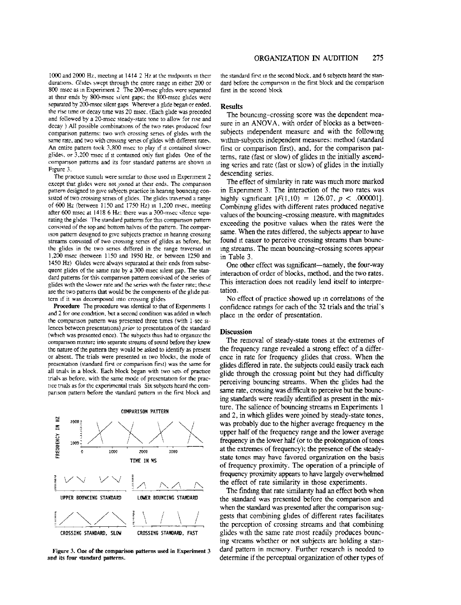1000 and 2000 Hz, meeting at 1414 2 Hz at the midpoints in their durations. Glides swept through the entire range in either 200 or 800 msec as in Experiment 2 The 200-msec glides were separated at their ends by 800-msec silent gaps; the 800-msec glides were separated by 200-msec silent gaps Wherever a glide began or ended. the rise time or decay time was 20 msec . (Each glide was preceded and followed by a 20-msec steady-state tone to allow for rise and decay ) All possible combinations of the two rates produced four comparison patterns: two with crossing series of glides with the same rate, and two with crossing series of glides with different rates. An entire pattern took 3,800 msec to play if it contained slower glides, or 3,200 msec if it contained only fast glides. One of the comparison patterns and its four standard patterns are shown m Figure 3.

The practice stimuli were similar to those used in Experiment 2 except that glides were not joined at their ends. The comparison pattern designed to give subjects practice in hearing bouncing consisted of two crossing series of glides. The glides traversed a range of <sup>600</sup> Hz (between <sup>1150</sup> and <sup>1750</sup> Hz) m 1,204 msec, meeting after 600 msec at 1418 6 Hz; there was a 300-msec vilence separating the glides The standard patterns for this comparison pattern consisted of the top and bottom halves of the pattern. The comparison pattern designed to give subjects practice in hearing crossing streams consisted of two crossing series of glides as before, but the glides in the two series differed in the range traversed in  $1,200$  msec (between 1150 and 1950 Hz, or between 1250 and 1450 Hz) Glides were always separated at their ends from subsequent glides of the same rate by a 300-msec silent gap. The standard patterns for this comparison pariem consisted of the series of glides with the Slower rate and the series with tine faster rate; these are the two patterns that would be the components of the glide pattern if it was decomposed into crossing glide

Procedure The procedure was identical to that of Experiments I and 2 for one condition, bata second condition was added in which the comparison pattern was presented three times (with 1-sec stleaccs between presentations) prior to presentation of the standard (which was presented once). The subjects thus had to organize the comparison mixture into separate streams of sound before they knew the nature of the pattern they would be asked to identify as present or absent. The trials were presented in two blocks, the mode of presentation (standard first or comparison first) was the same for all trials in a block. Each block began with two sets of practice trials as before, with the same mode of presentation for the practice trials as for the experimental trials. Six subjects heard the comparison pattern before the standard pattern m the first block and



COMPARISON PATTERN

Figure 3. One of the comparison patterns used in Experiment 3 and its four standard patterns.

the standard first in the second block, and 6 subjects heard the standard before the comparison in the first block and the comparison first in the second block

#### Results

The bouncing-crossing score was the dependent measure in an ANOVA, with order of blocks as a betweensubjects independent measure and with the following within-subjects independent measures: method (standard first or comparison first), and, for the comparison patterns, rate (fast or slow) of glides m the initially ascending series and rate (fast or slow) of glides in the initially descending series.

The effect of similarity in rate was much more marked in Experiment 3. The interaction of the two rates was highly significant  $[F(1,10) = 126.07, p < .000001]$ . Combining glides with different rates produced negative values of the bouncing-crossing measure, with magnitudes exceeding the positive values when the rates were the same. When the rates differed, the subjects appear to have found it easier to perceive crossing streams than bouncing streams . The mean bouncing-crossing scores appear in Table 3 .

One other effect was significant-namely, the four-way interaction of order of blocks, method, and the two rates. This interaction does not readily lend itself to interpretation .

No effect of practice showed up m correlations of the confidence ratings for each of the 32 trials and the trial's place in the order of presentation.

# **Discussion**

The removal of steady-state tones at the extremes of the frequency range revealed a strong effect of a difference in rate for frequency glides that cross . When the glides differed in rate, the subjects could easily track each glide through the crossing point but they had difficulty perceiving bouncing streams . When the glides had the same rate, crossing was difficult to perceive but the bouncing standards were readily identified as present in the mixture. The salience of bouncing streams in Experiments 1 and 2, in which glides were joined by steady-state tones, was probably due to the higher average frequency m the upper half of the frequency range and the lower average frequency in the lower half (or to the prolongation of tones at the extremes of frequency); the presence of the steadystate tones may have favored organization on the basis of frequency proximity. The operation of a principle of frequency proximury appears to have largely overwhelmed the effect of rate similarity in those experiments.

The finding that rate similarity had an effect both when the standard was presented before the comparison and when the standard was presented after the comparison suggests that combining glides of different rates facilitates the perception of crossing streams and that combining glides with the same rate most readily produces bouncing streams whether or not subjects are holding a standard pattern in memory. Further research is needed to determine if the perceptual organization of other types of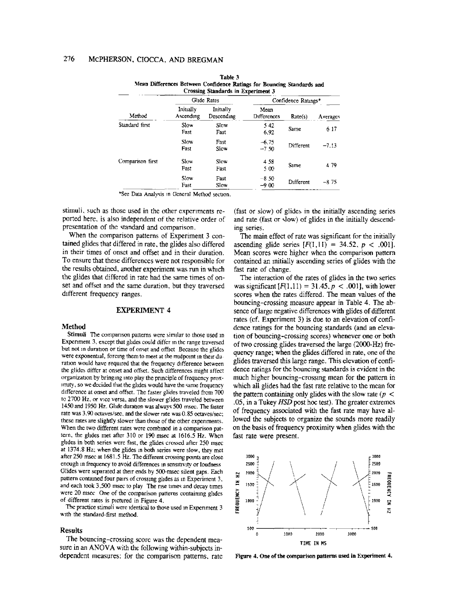| Crossing Standards in Experiment 3 |                        |                         |                     |           |          |  |
|------------------------------------|------------------------|-------------------------|---------------------|-----------|----------|--|
|                                    | Glide Rates            |                         | Confidence Ratings* |           |          |  |
| Method                             | Initially<br>Ascending | Initially<br>Descending | Mean<br>Differences | Rate(s)   | Averages |  |
| Standard first                     | Slow<br>Fast           | Slow<br>Fast            | 542<br>6.92         | Same      | 6 17     |  |
|                                    | Slow<br>Fast           | Fast<br>Slow            | $-6.75$<br>$-7.50$  | Different | $-7.13$  |  |
| Comparison first                   | Slow<br>Fast           | Slow<br>Fast            | 4 58<br>5.00        | Same      | 4.79     |  |
|                                    | Slow<br>Fast           | Fast<br>Slow            | $-8.50$<br>$-900$   | Different | $-875$   |  |

Table 3 Mean Differences Between Confidence Ratings for Bouncing Standards and

\*See Data Analysis in General Method section.

stimuli, such as those used in the other experiments reported here, is also independent of the relative order of presentation of the standard and comparison .

When the comparison patterns of Experiment <sup>3</sup> contained glides that differed in rate, the glides also differed in their times of onset and offset and in their duration. To ensure that these differences were not responsible for the results obtained, another experiment was run in which the glides that differed in rate had the same times of onset and offset and the same duration, but they traversed different frequency ranges.

## EXPERIMENT 4

## Method

Stimuli The comparison patterns were similar to those used in Experiment 3, except that glides could differ mthe range traversed but not in duration or time of onset and offset. Because the glides were exponential, forcing them to meet at the midpoint in their duration would have required that the frequency difference between the glides differ at onset and offset. Such differences might affect organization by bringing into play theprinciple of frequency proximity, so we decided that the glides would have the same frequency difference at onset and offset. The faster glides traveled from 700 to 2700 Hz, or vice versa, and the slower glides traveled between 1450 and 1950 Hz. Glide duration was always 500 msec . The faster rate was 3.90 octaves/sec, and the slower rate was 0.85 octaves/sec; these rates are slightly slower than those of the other experiments. When the two different rates were combined in a comparison pattern, the glides met after 310 or 190 msec at 1616.5 Hz. When glides in both series were fast, the glides crossed after 250 msec at 1374 .8 Hz; when the glides in both series were slow, they met after 250 msec at 1681.5 Hz. The different crossing points are close enough in frequency to avoid differences in sensitivity or loudness Glides were separated at their ends by 500-msec silent gaps. Each pattern contained four pairs of crossing glides as in Experiment 3, and each took 3,500 msec to play The rise times and decay times were 20 msec One of the comparison patterns containing glides of different rates is pictured in Figure 4

The practice stimuli were identical to those used in Experiment 3 with the standard-first method.

# Results

The bouncing-crossing score was the dependent measure in an ANOVA with the following within-subjects independent measures: for the comparison patterns, rate (fast or slow) of glides in the initially ascending series and rate (fast or slow) of glides in the initially descending series .

The main effect of rate was significant for the initially ascending glide series  $[F(1,11) = 34.52, p < .001]$ . Mean scores were higher when the comparison pattern contained an initially ascending series of glides with the fast rate of change .

The interaction of the rates of glides in the two series was significant  $[F(1,11) = 31.45, p < .001]$ , with lower scores when the rates differed. The mean values of the bouncing-crossing measure appear in Table 4. The absence of large negative differences with glides of different rates (cf. Experiment 3) is due to an elevation of confidence ratings for the bouncing standards (and an elevation of bouncing-crossing scores) whenever one or both of two crossing glides traversed the large (2000-Hz) frequency range; when the glides differed in rate, one of the glides traversed this large range. This elevation of confidence ratings for the bouncing standards is evident in the much higher bouncing-crossing mean for the pattern in which all glides had the fast rate relative to the mean for the pattern containing only glides with the slow rate ( $p <$ .05, in <sup>a</sup> Tukey HSD post hoc test) . The greater extremes of frequency associated with the fast raze may have allowed the subjects to organize the sounds more readily on the basis of frequency proximity when glides with the fast rate were present.



Figure 4. One of the comparison patterns used in Experiment 4.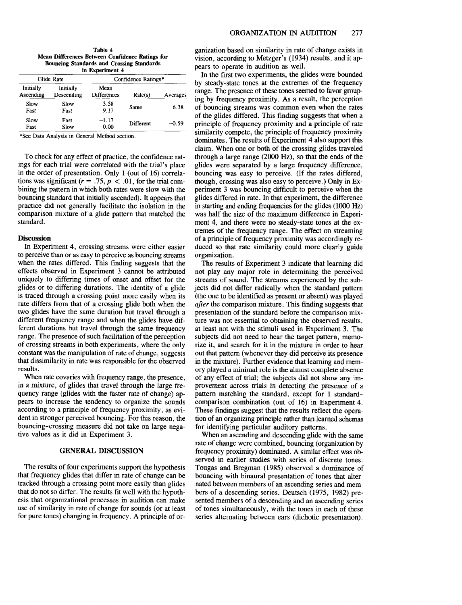Table 4 Mean Differences Between Confidence Ratings for Bouncing Standards and Crossing Standards in Experiment 4

| Glide Rate             |                         |                            | Confidence Ratings* |          |  |
|------------------------|-------------------------|----------------------------|---------------------|----------|--|
| Initially<br>Ascending | Initially<br>Descending | Mean<br><b>Differences</b> | Rate(s)             | Averages |  |
| Slow                   | Slow                    | 3.58                       |                     | 6.38     |  |
| Fast                   | Fast                    | 9.17                       | Same                |          |  |
| Slow                   | Fast                    | $-1.17$                    |                     |          |  |
| Fast                   | Slow                    | 0.00                       | Different           | $-0.59$  |  |

\*See Data Analysis in General Method section

To check for any effect of practice, the confidence ratings for each trial were correlated with the trial's place in the order of presentation. Only 1 (out of 16) correlations was significant ( $r = .75$ ,  $p < .01$ , for the trial combining the pattern in which both rates were slow with the bouncing standard that initially ascended). It appears that practice did not generally facilitate the isolation in the comparison mixture of <sup>a</sup> glide pattern that matched the standard.

## Discussion

In Experiment 4, crossing streams were either easier to perceive than or as easy to perceive as bouncing streams when the rates differed. This finding suggests that the effects observed in Experiment <sup>3</sup> cannot be attributed uniquely to differing times of onset and offset for the glides or to differing durations. The identity of a glide is traced through a crossing point more easily when its rate differs from that of a crossing glide both when the two glides have the same duration but travel through a different frequency range and when the glides have different durations but travel through the same frequency range. The presence of such facilitation of the perception of crossing streams in both experiments, where the only constant was the manipulation of rate of change, suggests that dissimilarity in rate was responsible for the observed results.

When rate covaries with frequency range, the presence, in a mixture, of glides that travel through the large frequency range (glides with the faster rate of change) appears to increase the tendency to organize the sounds according to a principle of frequency proximity, as evident in stronger perceived bouncing. For this reason, the bouncing-crossing measure did not take on large negative values as it did in Experiment 3.

# GENERAL DISCUSSION

The results of four experiments support the hypothesis that frequency glides that differ in rate of change can be tracked through <sup>a</sup> crossing point more easily than glides that do not so differ . The results fit well with the hypothesis that organizational processes in audition can make use of similarity in rate of change for sounds (or at least for pure tones) changing in frequency . A principle of organization based on similarity in rate of change exists in vision, according to Metzger's (1934) results, and it appears to operate in audition as well .

In the first two experiments, the glides were bounded by steady-state tones at the extremes of the frequency range. The presence of these tones seemed to favor grouping by frequency proximity. As a result, the perception of bouncing streams was common even when the rates of the glides differed. This finding suggests that when a principle of frequency proximity and a principle of rate similarity compete, the principle of frequency proximity dominates. The results of Experiment 4 also support this claim. When one or both of the crossing glides traveled through a large range (2000 Hz), so that the ends of the glides were separated by a large frequency difference, bouncing was easy to perceive . (If the rates differed, though, crossing was also easy to perceive .) Only in Experiment <sup>3</sup> was bouncing difficult to perceive when the glides differed in rate . In that experiment, the difference in starting and ending frequencies for the glides (1000 Hz) was half the size of the maximum difference in Experiment 4, and there were no steady-state tones at the extremes of the frequency range. The effect on streaming of a principle of frequency proximity was accordingly reduced so that rate similarity could more clearly guide organization .

The results of Experiment 3 indicate that learning did not play any major role in determining the perceived streams of sound. The streams experienced by the subjects did not differ radically when the standard pattern (the one to be identified as present or absent) was played after the comparison mixture. This finding suggests that presentation of the standard before the comparison mixture was not essential to obtaining the observed results, at least not with the stimuli used in Experiment 3. The subjects did not need to hear the target pattern, memorize it, and search for it in the mixture in order to hear out that pattern (whenever they did perceive its presence in the mixture). Further evidence that learning and memory played a minimal role is the almost complete absence of any effect of trial; the subjects did not show any improvement across trials in detecting the presence of a pattern matching the standard, except for <sup>1</sup> standardcomparison combination (out of 16) in Experiment 4. These findings suggest that the results reflect the operation of an organizing principle rather than learned schemas for identifying particular auditory patterns.

When an ascending and descending glide with the same rate of change were combined, bouncing (organization by frequency proximity) dominated . A similar effect was observed in earlier studies with series of discrete tones . Tougas and Bregman (1985) observed a dominance of bouncing with binaural presentation of tones that alternated between members of an ascending series and members of a descending series . Deutsch (1975, 1982) presented members of a descending and an ascending series of tones simultaneously, with the tones in each of these series alternating between ears (dichotic presentation) .